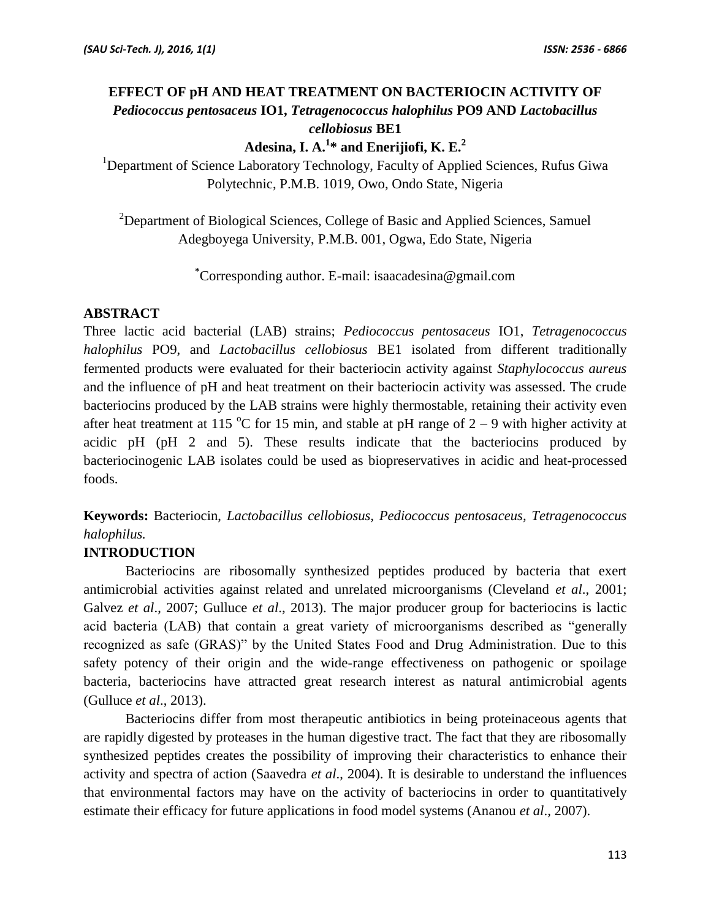# **EFFECT OF pH AND HEAT TREATMENT ON BACTERIOCIN ACTIVITY OF**  *Pediococcus pentosaceus* **IO1,** *Tetragenococcus halophilus* **PO9 AND** *Lactobacillus cellobiosus* **BE1**

**Adesina, I. A.<sup>1</sup> \* and Enerijiofi, K. E.<sup>2</sup>**

<sup>1</sup>Department of Science Laboratory Technology, Faculty of Applied Sciences, Rufus Giwa Polytechnic, P.M.B. 1019, Owo, Ondo State, Nigeria

<sup>2</sup>Department of Biological Sciences, College of Basic and Applied Sciences, Samuel Adegboyega University, P.M.B. 001, Ogwa, Edo State, Nigeria

**\***Corresponding author. E-mail: isaacadesina@gmail.com

## **ABSTRACT**

Three lactic acid bacterial (LAB) strains; *Pediococcus pentosaceus* IO1, *Tetragenococcus halophilus* PO9, and *Lactobacillus cellobiosus* BE1 isolated from different traditionally fermented products were evaluated for their bacteriocin activity against *Staphylococcus aureus* and the influence of pH and heat treatment on their bacteriocin activity was assessed. The crude bacteriocins produced by the LAB strains were highly thermostable, retaining their activity even after heat treatment at 115 °C for 15 min, and stable at pH range of  $2 - 9$  with higher activity at acidic pH (pH 2 and 5). These results indicate that the bacteriocins produced by bacteriocinogenic LAB isolates could be used as biopreservatives in acidic and heat-processed foods.

**Keywords:** Bacteriocin, *Lactobacillus cellobiosus, Pediococcus pentosaceus, Tetragenococcus halophilus.*

## **INTRODUCTION**

Bacteriocins are ribosomally synthesized peptides produced by bacteria that exert antimicrobial activities against related and unrelated microorganisms (Cleveland *et al*., 2001; Galvez *et al*., 2007; Gulluce *et al*., 2013). The major producer group for bacteriocins is lactic acid bacteria (LAB) that contain a great variety of microorganisms described as "generally recognized as safe (GRAS)" by the United States Food and Drug Administration. Due to this safety potency of their origin and the wide-range effectiveness on pathogenic or spoilage bacteria, bacteriocins have attracted great research interest as natural antimicrobial agents (Gulluce *et al*., 2013).

Bacteriocins differ from most therapeutic antibiotics in being proteinaceous agents that are rapidly digested by proteases in the human digestive tract. The fact that they are ribosomally synthesized peptides creates the possibility of improving their characteristics to enhance their activity and spectra of action (Saavedra *et al*., 2004). It is desirable to understand the influences that environmental factors may have on the activity of bacteriocins in order to quantitatively estimate their efficacy for future applications in food model systems (Ananou *et al*., 2007).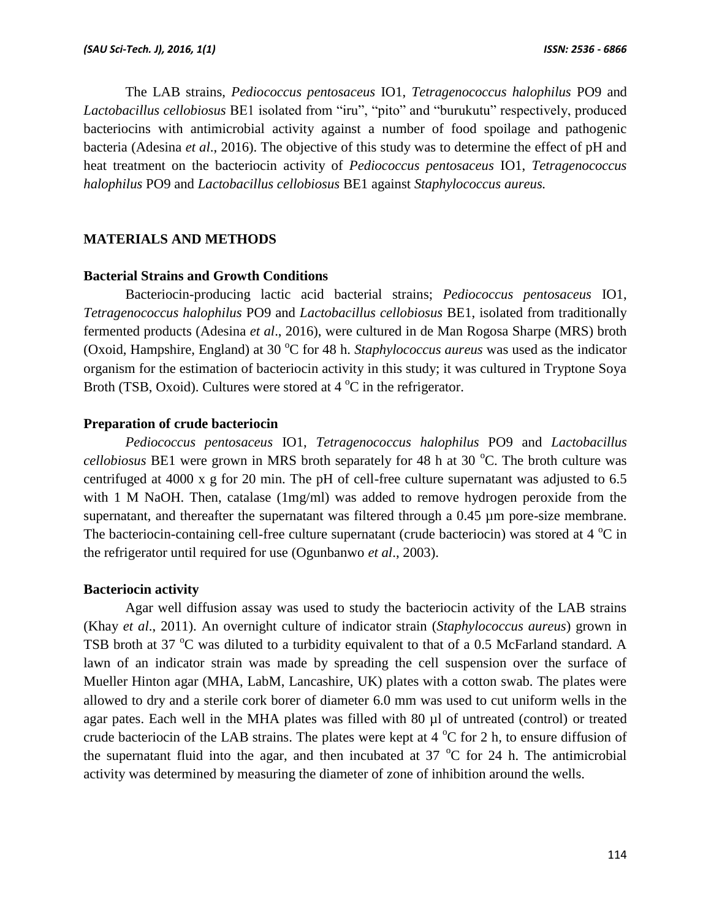The LAB strains, *Pediococcus pentosaceus* IO1, *Tetragenococcus halophilus* PO9 and *Lactobacillus cellobiosus* BE1 isolated from "iru", "pito" and "burukutu" respectively, produced bacteriocins with antimicrobial activity against a number of food spoilage and pathogenic bacteria (Adesina *et al*., 2016). The objective of this study was to determine the effect of pH and heat treatment on the bacteriocin activity of *Pediococcus pentosaceus* IO1, *Tetragenococcus halophilus* PO9 and *Lactobacillus cellobiosus* BE1 against *Staphylococcus aureus.*

## **MATERIALS AND METHODS**

#### **Bacterial Strains and Growth Conditions**

Bacteriocin-producing lactic acid bacterial strains; *Pediococcus pentosaceus* IO1, *Tetragenococcus halophilus* PO9 and *Lactobacillus cellobiosus* BE1, isolated from traditionally fermented products (Adesina *et al*., 2016), were cultured in de Man Rogosa Sharpe (MRS) broth (Oxoid, Hampshire, England) at 30 °C for 48 h. *Staphylococcus aureus* was used as the indicator organism for the estimation of bacteriocin activity in this study; it was cultured in Tryptone Soya Broth (TSB, Oxoid). Cultures were stored at  $4^{\circ}$ C in the refrigerator.

#### **Preparation of crude bacteriocin**

*Pediococcus pentosaceus* IO1, *Tetragenococcus halophilus* PO9 and *Lactobacillus cellobiosus* BE1 were grown in MRS broth separately for 48 h at 30 °C. The broth culture was centrifuged at 4000 x g for 20 min. The pH of cell-free culture supernatant was adjusted to 6.5 with 1 M NaOH. Then, catalase (1mg/ml) was added to remove hydrogen peroxide from the supernatant, and thereafter the supernatant was filtered through a 0.45 µm pore-size membrane. The bacteriocin-containing cell-free culture supernatant (crude bacteriocin) was stored at 4  $^{\circ}$ C in the refrigerator until required for use (Ogunbanwo *et al*., 2003).

#### **Bacteriocin activity**

Agar well diffusion assay was used to study the bacteriocin activity of the LAB strains (Khay *et al*., 2011). An overnight culture of indicator strain (*Staphylococcus aureus*) grown in TSB broth at 37  $\rm{^{\circ}C}$  was diluted to a turbidity equivalent to that of a 0.5 McFarland standard. A lawn of an indicator strain was made by spreading the cell suspension over the surface of Mueller Hinton agar (MHA, LabM, Lancashire, UK) plates with a cotton swab. The plates were allowed to dry and a sterile cork borer of diameter 6.0 mm was used to cut uniform wells in the agar pates. Each well in the MHA plates was filled with 80 µl of untreated (control) or treated crude bacteriocin of the LAB strains. The plates were kept at  $4^{\circ}$ C for 2 h, to ensure diffusion of the supernatant fluid into the agar, and then incubated at  $37^{\circ}$ C for 24 h. The antimicrobial activity was determined by measuring the diameter of zone of inhibition around the wells.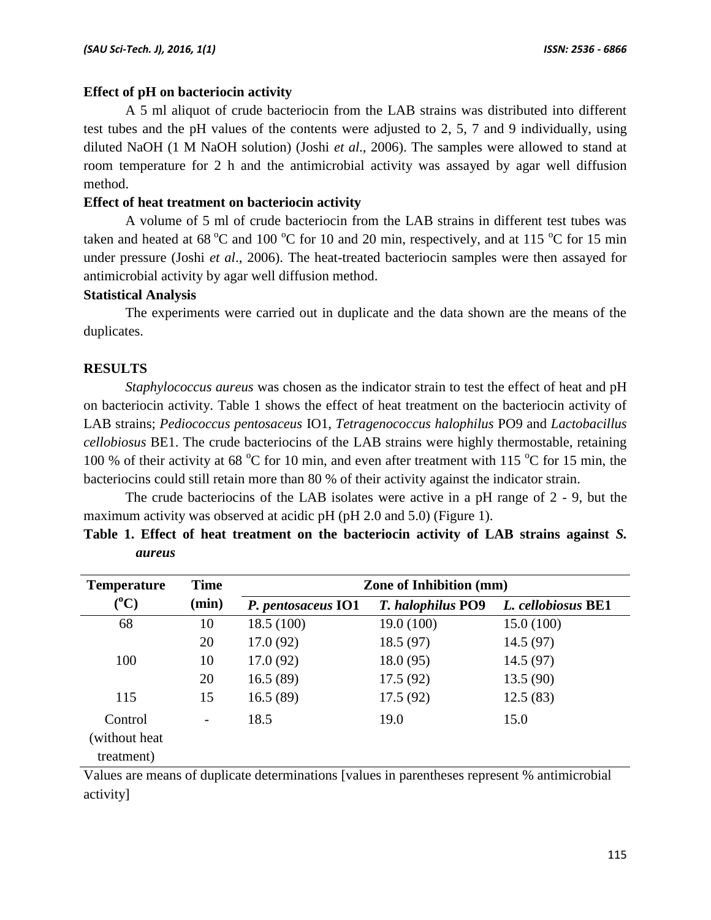## **Effect of pH on bacteriocin activity**

A 5 ml aliquot of crude bacteriocin from the LAB strains was distributed into different test tubes and the pH values of the contents were adjusted to 2, 5, 7 and 9 individually, using diluted NaOH (1 M NaOH solution) (Joshi *et al*., 2006). The samples were allowed to stand at room temperature for 2 h and the antimicrobial activity was assayed by agar well diffusion method.

## **Effect of heat treatment on bacteriocin activity**

A volume of 5 ml of crude bacteriocin from the LAB strains in different test tubes was taken and heated at 68  $^{\circ}$ C and 100  $^{\circ}$ C for 10 and 20 min, respectively, and at 115  $^{\circ}$ C for 15 min under pressure (Joshi *et al*., 2006). The heat-treated bacteriocin samples were then assayed for antimicrobial activity by agar well diffusion method.

## **Statistical Analysis**

The experiments were carried out in duplicate and the data shown are the means of the duplicates.

## **RESULTS**

*Staphylococcus aureus* was chosen as the indicator strain to test the effect of heat and pH on bacteriocin activity. Table 1 shows the effect of heat treatment on the bacteriocin activity of LAB strains; *Pediococcus pentosaceus* IO1, *Tetragenococcus halophilus* PO9 and *Lactobacillus cellobiosus* BE1. The crude bacteriocins of the LAB strains were highly thermostable, retaining 100 % of their activity at 68  $^{\circ}$ C for 10 min, and even after treatment with 115  $^{\circ}$ C for 15 min, the bacteriocins could still retain more than 80 % of their activity against the indicator strain.

The crude bacteriocins of the LAB isolates were active in a pH range of 2 - 9, but the maximum activity was observed at acidic pH (pH 2.0 and 5.0) (Figure 1).

| aureus             |                       |                                |  |      |  |              |  |  |       |      |  |
|--------------------|-----------------------|--------------------------------|--|------|--|--------------|--|--|-------|------|--|
| <b>Temperature</b> | <b>Time</b>           | <b>Zone of Inhibition (mm)</b> |  |      |  |              |  |  |       |      |  |
| (0)                | $\left(\ldots\right)$ | $\mathbf{r}$                   |  | TA 1 |  | T 1 1 11 100 |  |  | ,,,,, | DD1. |  |

|  |               |  |  | Table 1. Effect of heat treatment on the bacteriocin activity of LAB strains against S. |  |  |  |
|--|---------------|--|--|-----------------------------------------------------------------------------------------|--|--|--|
|  | <i>aureus</i> |  |  |                                                                                         |  |  |  |

| <b>Temperature</b> | Time              | Zone of Inhibition (mm)                                                                                                                                                                                                                                                                                                                                                 |                          |                                                                                                                                                                                                                                                                                            |  |  |  |  |  |  |
|--------------------|-------------------|-------------------------------------------------------------------------------------------------------------------------------------------------------------------------------------------------------------------------------------------------------------------------------------------------------------------------------------------------------------------------|--------------------------|--------------------------------------------------------------------------------------------------------------------------------------------------------------------------------------------------------------------------------------------------------------------------------------------|--|--|--|--|--|--|
| $(^{\circ}C)$      | (min)             | P. pentosaceus IO1                                                                                                                                                                                                                                                                                                                                                      | <b>T.</b> halophilus PO9 | L. cellobiosus BE1                                                                                                                                                                                                                                                                         |  |  |  |  |  |  |
| 68                 | 10                | 18.5(100)                                                                                                                                                                                                                                                                                                                                                               | 19.0 (100)               | 15.0(100)                                                                                                                                                                                                                                                                                  |  |  |  |  |  |  |
|                    | 20                | 17.0(92)                                                                                                                                                                                                                                                                                                                                                                | 18.5 (97)                | 14.5(97)                                                                                                                                                                                                                                                                                   |  |  |  |  |  |  |
| 100                | 10                | 17.0(92)                                                                                                                                                                                                                                                                                                                                                                | 18.0(95)                 | 14.5(97)                                                                                                                                                                                                                                                                                   |  |  |  |  |  |  |
|                    | 20                | 16.5(89)                                                                                                                                                                                                                                                                                                                                                                | 17.5(92)                 | 13.5(90)                                                                                                                                                                                                                                                                                   |  |  |  |  |  |  |
| 115                | 15                | 16.5(89)                                                                                                                                                                                                                                                                                                                                                                | 17.5(92)                 | 12.5(83)                                                                                                                                                                                                                                                                                   |  |  |  |  |  |  |
| Control            | $\qquad \qquad -$ | 18.5                                                                                                                                                                                                                                                                                                                                                                    | 19.0                     | 15.0                                                                                                                                                                                                                                                                                       |  |  |  |  |  |  |
| (without heat      |                   |                                                                                                                                                                                                                                                                                                                                                                         |                          |                                                                                                                                                                                                                                                                                            |  |  |  |  |  |  |
| treatment)         |                   |                                                                                                                                                                                                                                                                                                                                                                         |                          |                                                                                                                                                                                                                                                                                            |  |  |  |  |  |  |
| <b>TT 1</b>        |                   | $\mathbf{c}$ and $\mathbf{c}$ and $\mathbf{c}$ and $\mathbf{c}$ and $\mathbf{c}$ and $\mathbf{c}$ and $\mathbf{c}$ and $\mathbf{c}$<br>$\mathbf{r}$ , and the set of the set of the set of the set of the set of the set of the set of the set of the set of the set of the set of the set of the set of the set of the set of the set of the set of the set of the set |                          | $\sim$ 0.4 $\sim$ 1.5 $\sim$ 1.5 $\sim$ 1.5 $\sim$ 1.5 $\sim$ 1.5 $\sim$ 1.5 $\sim$ 1.5 $\sim$ 1.5 $\sim$ 1.5 $\sim$ 1.5 $\sim$ 1.5 $\sim$ 1.5 $\sim$ 1.5 $\sim$ 1.5 $\sim$ 1.5 $\sim$ 1.5 $\sim$ 1.5 $\sim$ 1.5 $\sim$ 1.5 $\sim$ 1.5 $\sim$ 1.5 $\sim$ 1.5 $\sim$ 1.5 $\sim$<br>$\cdots$ |  |  |  |  |  |  |

Values are means of duplicate determinations [values in parentheses represent % antimicrobial activity]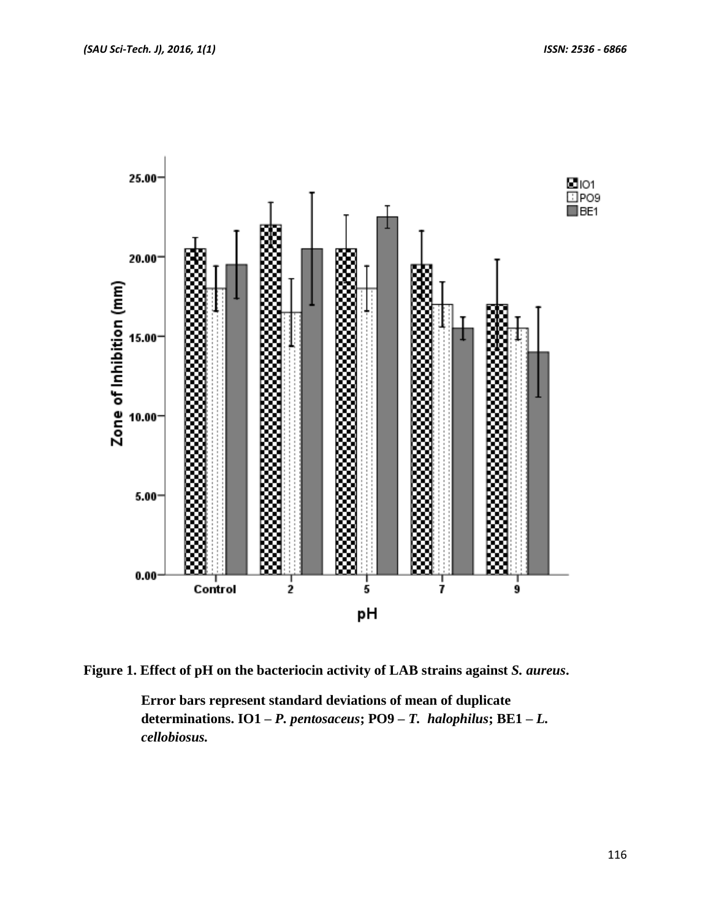

**Figure 1. Effect of pH on the bacteriocin activity of LAB strains against** *S. aureus***.** 

**Error bars represent standard deviations of mean of duplicate determinations. IO1 –** *P. pentosaceus***; PO9 –** *T. halophilus***; BE1 –** *L. cellobiosus.*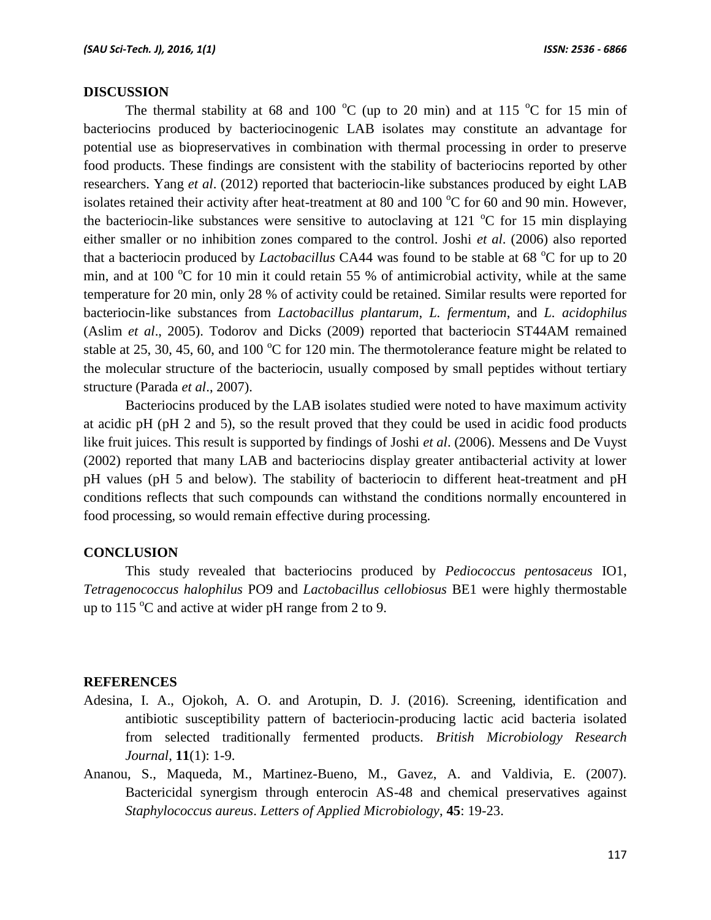#### **DISCUSSION**

The thermal stability at 68 and 100  $^{\circ}$ C (up to 20 min) and at 115  $^{\circ}$ C for 15 min of bacteriocins produced by bacteriocinogenic LAB isolates may constitute an advantage for potential use as biopreservatives in combination with thermal processing in order to preserve food products. These findings are consistent with the stability of bacteriocins reported by other researchers. Yang *et al*. (2012) reported that bacteriocin-like substances produced by eight LAB isolates retained their activity after heat-treatment at 80 and 100  $^{\circ}$ C for 60 and 90 min. However, the bacteriocin-like substances were sensitive to autoclaving at 121  $\degree$ C for 15 min displaying either smaller or no inhibition zones compared to the control. Joshi *et al*. (2006) also reported that a bacteriocin produced by *Lactobacillus* CA44 was found to be stable at 68 <sup>o</sup>C for up to 20 min, and at 100  $^{\circ}$ C for 10 min it could retain 55 % of antimicrobial activity, while at the same temperature for 20 min, only 28 % of activity could be retained. Similar results were reported for bacteriocin-like substances from *Lactobacillus plantarum*, *L. fermentum*, and *L. acidophilus* (Aslim *et al*., 2005). Todorov and Dicks (2009) reported that bacteriocin ST44AM remained stable at 25, 30, 45, 60, and 100  $^{\circ}$ C for 120 min. The thermotolerance feature might be related to the molecular structure of the bacteriocin, usually composed by small peptides without tertiary structure (Parada *et al*., 2007).

Bacteriocins produced by the LAB isolates studied were noted to have maximum activity at acidic pH (pH 2 and 5), so the result proved that they could be used in acidic food products like fruit juices. This result is supported by findings of Joshi *et al*. (2006). Messens and De Vuyst (2002) reported that many LAB and bacteriocins display greater antibacterial activity at lower pH values (pH 5 and below). The stability of bacteriocin to different heat-treatment and pH conditions reflects that such compounds can withstand the conditions normally encountered in food processing, so would remain effective during processing.

#### **CONCLUSION**

This study revealed that bacteriocins produced by *Pediococcus pentosaceus* IO1, *Tetragenococcus halophilus* PO9 and *Lactobacillus cellobiosus* BE1 were highly thermostable up to  $115^{\circ}$ C and active at wider pH range from 2 to 9.

#### **REFERENCES**

- Adesina, I. A., Ojokoh, A. O. and Arotupin, D. J. (2016). Screening, identification and antibiotic susceptibility pattern of bacteriocin-producing lactic acid bacteria isolated from selected traditionally fermented products. *British Microbiology Research Journal*, **11**(1): 1-9.
- Ananou, S., Maqueda, M., Martinez-Bueno, M., Gavez, A. and Valdivia, E. (2007). Bactericidal synergism through enterocin AS-48 and chemical preservatives against *Staphylococcus aureus*. *Letters of Applied Microbiology*, **45**: 19-23.